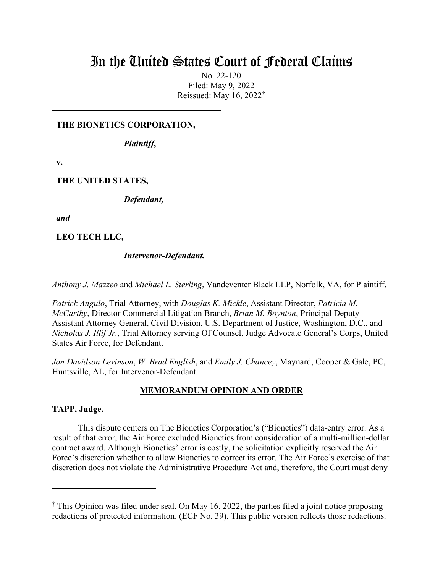# In the United States Court of Federal Claims

No. 22-120 Filed: May 9, 2022 Reissued: May 16, 2022†

## **THE BIONETICS CORPORATION,**

*Plaintiff***,**

**v.**

**THE UNITED STATES,**

*Defendant,*

*and*

**LEO TECH LLC,**

*Intervenor-Defendant.*

*Anthony J. Mazzeo* and *Michael L. Sterling*, Vandeventer Black LLP, Norfolk, VA, for Plaintiff.

*Patrick Angulo*, Trial Attorney, with *Douglas K. Mickle*, Assistant Director, *Patricia M. McCarthy*, Director Commercial Litigation Branch, *Brian M. Boynton*, Principal Deputy Assistant Attorney General, Civil Division, U.S. Department of Justice, Washington, D.C., and *Nicholas J. Illif Jr.*, Trial Attorney serving Of Counsel, Judge Advocate General's Corps, United States Air Force, for Defendant.

*Jon Davidson Levinson*, *W. Brad English*, and *Emily J. Chancey*, Maynard, Cooper & Gale, PC, Huntsville, AL, for Intervenor-Defendant.

## **MEMORANDUM OPINION AND ORDER**

#### **TAPP, Judge.**

This dispute centers on The Bionetics Corporation's ("Bionetics") data-entry error. As a result of that error, the Air Force excluded Bionetics from consideration of a multi-million-dollar contract award. Although Bionetics' error is costly, the solicitation explicitly reserved the Air Force's discretion whether to allow Bionetics to correct its error. The Air Force's exercise of that discretion does not violate the Administrative Procedure Act and, therefore, the Court must deny

<sup>†</sup> This Opinion was filed under seal. On May 16, 2022, the parties filed a joint notice proposing redactions of protected information. (ECF No. 39). This public version reflects those redactions.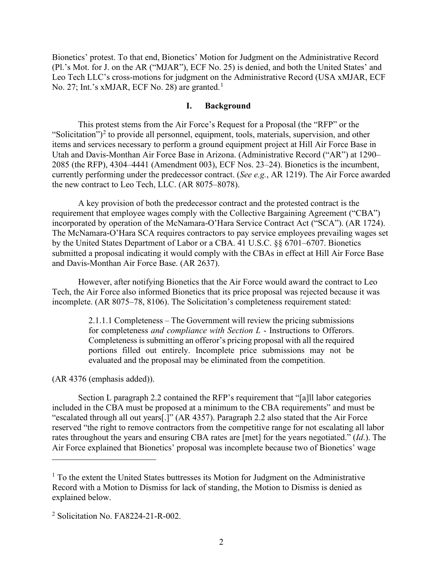Bionetics' protest. To that end, Bionetics' Motion for Judgment on the Administrative Record (Pl.'s Mot. for J. on the AR ("MJAR"), ECF No. 25) is denied, and both the United States' and Leo Tech LLC's cross-motions for judgment on the Administrative Record (USA xMJAR, ECF No. 27; Int.'s xMJAR, ECF No. 28) are granted.<sup>1</sup>

#### **I. Background**

This protest stems from the Air Force's Request for a Proposal (the "RFP" or the "Solicitation")<sup>2</sup> to provide all personnel, equipment, tools, materials, supervision, and other items and services necessary to perform a ground equipment project at Hill Air Force Base in Utah and Davis-Monthan Air Force Base in Arizona. (Administrative Record ("AR") at 1290– 2085 (the RFP), 4304–4441 (Amendment 003), ECF Nos. 23–24). Bionetics is the incumbent, currently performing under the predecessor contract. (*See e.g.*, AR 1219). The Air Force awarded the new contract to Leo Tech, LLC. (AR 8075–8078).

A key provision of both the predecessor contract and the protested contract is the requirement that employee wages comply with the Collective Bargaining Agreement ("CBA") incorporated by operation of the McNamara-O'Hara Service Contract Act ("SCA"). (AR 1724). The McNamara-O'Hara SCA requires contractors to pay service employees prevailing wages set by the United States Department of Labor or a CBA. 41 U.S.C. §§ 6701–6707. Bionetics submitted a proposal indicating it would comply with the CBAs in effect at Hill Air Force Base and Davis-Monthan Air Force Base. (AR 2637).

However, after notifying Bionetics that the Air Force would award the contract to Leo Tech, the Air Force also informed Bionetics that its price proposal was rejected because it was incomplete. (AR 8075–78, 8106). The Solicitation's completeness requirement stated:

> 2.1.1.1 Completeness – The Government will review the pricing submissions for completeness *and compliance with Section L* - Instructions to Offerors. Completeness is submitting an offeror's pricing proposal with all the required portions filled out entirely. Incomplete price submissions may not be evaluated and the proposal may be eliminated from the competition.

(AR 4376 (emphasis added)).

Section L paragraph 2.2 contained the RFP's requirement that "[a]ll labor categories included in the CBA must be proposed at a minimum to the CBA requirements" and must be "escalated through all out years[.]" (AR 4357). Paragraph 2.2 also stated that the Air Force reserved "the right to remove contractors from the competitive range for not escalating all labor rates throughout the years and ensuring CBA rates are [met] for the years negotiated." (*Id*.). The Air Force explained that Bionetics' proposal was incomplete because two of Bionetics' wage

<sup>&</sup>lt;sup>1</sup> To the extent the United States buttresses its Motion for Judgment on the Administrative Record with a Motion to Dismiss for lack of standing, the Motion to Dismiss is denied as explained below.

<sup>2</sup> Solicitation No. FA8224-21-R-002.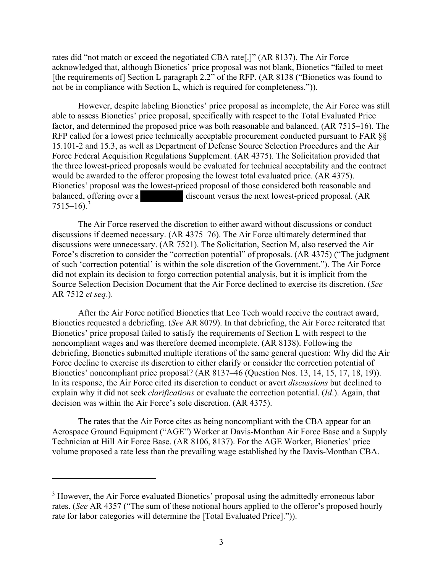rates did "not match or exceed the negotiated CBA rate[.]" (AR 8137). The Air Force acknowledged that, although Bionetics' price proposal was not blank, Bionetics "failed to meet [the requirements of] Section L paragraph 2.2" of the RFP. (AR 8138 ("Bionetics was found to not be in compliance with Section L, which is required for completeness.")).

However, despite labeling Bionetics' price proposal as incomplete, the Air Force was still able to assess Bionetics' price proposal, specifically with respect to the Total Evaluated Price factor, and determined the proposed price was both reasonable and balanced. (AR 7515–16). The RFP called for a lowest price technically acceptable procurement conducted pursuant to FAR §§ 15.101-2 and 15.3, as well as Department of Defense Source Selection Procedures and the Air Force Federal Acquisition Regulations Supplement. (AR 4375). The Solicitation provided that the three lowest-priced proposals would be evaluated for technical acceptability and the contract would be awarded to the offeror proposing the lowest total evaluated price. (AR 4375). Bionetics' proposal was the lowest-priced proposal of those considered both reasonable and balanced, offering over a discount versus the next lowest-priced proposal. (AR  $7515 - 16$ ).<sup>3</sup>

The Air Force reserved the discretion to either award without discussions or conduct discussions if deemed necessary. (AR 4375–76). The Air Force ultimately determined that discussions were unnecessary. (AR 7521). The Solicitation, Section M, also reserved the Air Force's discretion to consider the "correction potential" of proposals. (AR 4375) ("The judgment of such 'correction potential' is within the sole discretion of the Government."). The Air Force did not explain its decision to forgo correction potential analysis, but it is implicit from the Source Selection Decision Document that the Air Force declined to exercise its discretion. (*See* AR 7512 *et seq*.).

After the Air Force notified Bionetics that Leo Tech would receive the contract award, Bionetics requested a debriefing. (*See* AR 8079). In that debriefing, the Air Force reiterated that Bionetics' price proposal failed to satisfy the requirements of Section L with respect to the noncompliant wages and was therefore deemed incomplete. (AR 8138). Following the debriefing, Bionetics submitted multiple iterations of the same general question: Why did the Air Force decline to exercise its discretion to either clarify or consider the correction potential of Bionetics' noncompliant price proposal? (AR 8137–46 (Question Nos. 13, 14, 15, 17, 18, 19)). In its response, the Air Force cited its discretion to conduct or avert *discussions* but declined to explain why it did not seek *clarifications* or evaluate the correction potential. (*Id*.). Again, that decision was within the Air Force's sole discretion. (AR 4375).

The rates that the Air Force cites as being noncompliant with the CBA appear for an Aerospace Ground Equipment ("AGE") Worker at Davis-Monthan Air Force Base and a Supply Technician at Hill Air Force Base. (AR 8106, 8137). For the AGE Worker, Bionetics' price volume proposed a rate less than the prevailing wage established by the Davis-Monthan CBA.

<sup>&</sup>lt;sup>3</sup> However, the Air Force evaluated Bionetics' proposal using the admittedly erroneous labor rates. (*See* AR 4357 ("The sum of these notional hours applied to the offeror's proposed hourly rate for labor categories will determine the [Total Evaluated Price].")).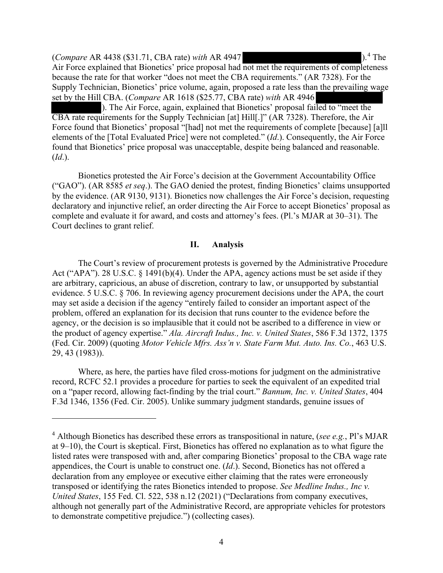(*Compare* AR 4438 (\$31.71, CBA rate) *with* AR 4947 ).<sup>4</sup> The Air Force explained that Bionetics' price proposal had not met the requirements of completeness because the rate for that worker "does not meet the CBA requirements." (AR 7328). For the Supply Technician, Bionetics' price volume, again, proposed a rate less than the prevailing wage set by the Hill CBA. (*Compare* AR 1618 (\$25.77, CBA rate) *with* AR 4946

). The Air Force, again, explained that Bionetics' proposal failed to "meet the CBA rate requirements for the Supply Technician [at] Hill[.]" (AR 7328). Therefore, the Air Force found that Bionetics' proposal "[had] not met the requirements of complete [because] [a]ll elements of the [Total Evaluated Price] were not completed." (*Id*.). Consequently, the Air Force found that Bionetics' price proposal was unacceptable, despite being balanced and reasonable. (*Id*.).

Bionetics protested the Air Force's decision at the Government Accountability Office ("GAO"). (AR 8585 *et seq*.). The GAO denied the protest, finding Bionetics' claims unsupported by the evidence. (AR 9130, 9131). Bionetics now challenges the Air Force's decision, requesting declaratory and injunctive relief, an order directing the Air Force to accept Bionetics' proposal as complete and evaluate it for award, and costs and attorney's fees. (Pl.'s MJAR at 30–31). The Court declines to grant relief.

## **II. Analysis**

The Court's review of procurement protests is governed by the Administrative Procedure Act ("APA"). 28 U.S.C. § 1491(b)(4). Under the APA, agency actions must be set aside if they are arbitrary, capricious, an abuse of discretion, contrary to law, or unsupported by substantial evidence. 5 U.S.C. § 706. In reviewing agency procurement decisions under the APA, the court may set aside a decision if the agency "entirely failed to consider an important aspect of the problem, offered an explanation for its decision that runs counter to the evidence before the agency, or the decision is so implausible that it could not be ascribed to a difference in view or the product of agency expertise." *Ala. Aircraft Indus., Inc. v. United States*, 586 F.3d 1372, 1375 (Fed. Cir. 2009) (quoting *Motor Vehicle Mfrs. Ass'n v. State Farm Mut. Auto. Ins. Co.*, 463 U.S. 29, 43 (1983)).

Where, as here, the parties have filed cross-motions for judgment on the administrative record, RCFC 52.1 provides a procedure for parties to seek the equivalent of an expedited trial on a "paper record, allowing fact-finding by the trial court." *Bannum, Inc. v. United States*, 404 F.3d 1346, 1356 (Fed. Cir. 2005). Unlike summary judgment standards, genuine issues of

<sup>4</sup> Although Bionetics has described these errors as transpositional in nature, (*see e.g.*, Pl's MJAR at 9–10), the Court is skeptical. First, Bionetics has offered no explanation as to what figure the listed rates were transposed with and, after comparing Bionetics' proposal to the CBA wage rate appendices, the Court is unable to construct one. (*Id*.). Second, Bionetics has not offered a declaration from any employee or executive either claiming that the rates were erroneously transposed or identifying the rates Bionetics intended to propose. *See Medline Indus., Inc v. United States*, 155 Fed. Cl. 522, 538 n.12 (2021) ("Declarations from company executives, although not generally part of the Administrative Record, are appropriate vehicles for protestors to demonstrate competitive prejudice.") (collecting cases).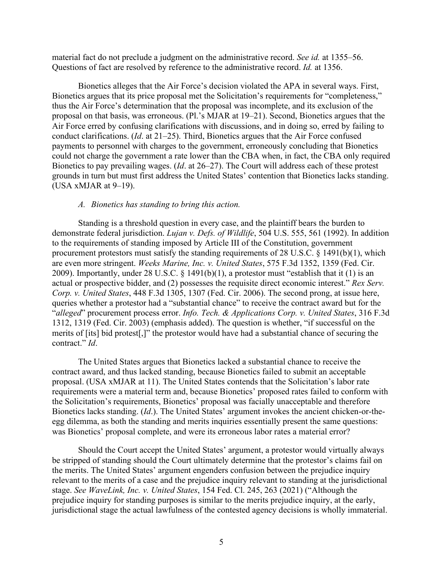material fact do not preclude a judgment on the administrative record. *See id.* at 1355–56. Questions of fact are resolved by reference to the administrative record. *Id.* at 1356.

Bionetics alleges that the Air Force's decision violated the APA in several ways. First, Bionetics argues that its price proposal met the Solicitation's requirements for "completeness," thus the Air Force's determination that the proposal was incomplete, and its exclusion of the proposal on that basis, was erroneous. (Pl.'s MJAR at 19–21). Second, Bionetics argues that the Air Force erred by confusing clarifications with discussions, and in doing so, erred by failing to conduct clarifications. (*Id*. at 21–25). Third, Bionetics argues that the Air Force confused payments to personnel with charges to the government, erroneously concluding that Bionetics could not charge the government a rate lower than the CBA when, in fact, the CBA only required Bionetics to pay prevailing wages. (*Id*. at 26–27). The Court will address each of these protest grounds in turn but must first address the United States' contention that Bionetics lacks standing. (USA xMJAR at  $9-19$ ).

#### *A. Bionetics has standing to bring this action.*

Standing is a threshold question in every case, and the plaintiff bears the burden to demonstrate federal jurisdiction. *Lujan v. Defs. of Wildlife*, 504 U.S. 555, 561 (1992). In addition to the requirements of standing imposed by Article III of the Constitution, government procurement protestors must satisfy the standing requirements of 28 U.S.C. § 1491(b)(1), which are even more stringent. *Weeks Marine, Inc. v. United States*, 575 F.3d 1352, 1359 (Fed. Cir. 2009). Importantly, under 28 U.S.C. § 1491(b)(1), a protestor must "establish that it (1) is an actual or prospective bidder, and (2) possesses the requisite direct economic interest." *Rex Serv. Corp. v. United States*, 448 F.3d 1305, 1307 (Fed. Cir. 2006). The second prong, at issue here, queries whether a protestor had a "substantial chance" to receive the contract award but for the "*alleged*" procurement process error. *Info. Tech. & Applications Corp. v. United States*, 316 F.3d 1312, 1319 (Fed. Cir. 2003) (emphasis added). The question is whether, "if successful on the merits of [its] bid protest[,]" the protestor would have had a substantial chance of securing the contract." *Id*.

The United States argues that Bionetics lacked a substantial chance to receive the contract award, and thus lacked standing, because Bionetics failed to submit an acceptable proposal. (USA xMJAR at 11). The United States contends that the Solicitation's labor rate requirements were a material term and, because Bionetics' proposed rates failed to conform with the Solicitation's requirements, Bionetics' proposal was facially unacceptable and therefore Bionetics lacks standing. (*Id*.). The United States' argument invokes the ancient chicken-or-theegg dilemma, as both the standing and merits inquiries essentially present the same questions: was Bionetics' proposal complete, and were its erroneous labor rates a material error?

Should the Court accept the United States' argument, a protestor would virtually always be stripped of standing should the Court ultimately determine that the protestor's claims fail on the merits. The United States' argument engenders confusion between the prejudice inquiry relevant to the merits of a case and the prejudice inquiry relevant to standing at the jurisdictional stage. *See WaveLink, Inc. v. United States*, 154 Fed. Cl. 245, 263 (2021) ("Although the prejudice inquiry for standing purposes is similar to the merits prejudice inquiry, at the early, jurisdictional stage the actual lawfulness of the contested agency decisions is wholly immaterial.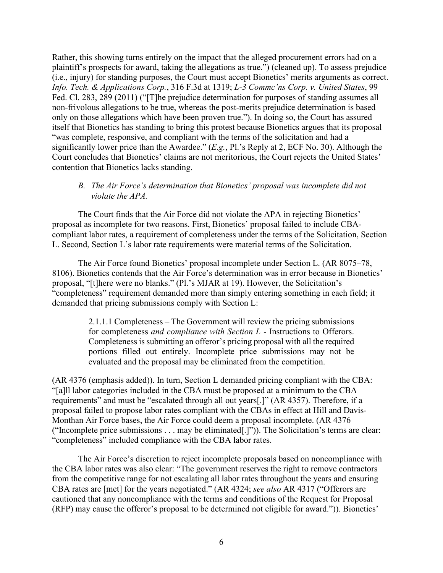Rather, this showing turns entirely on the impact that the alleged procurement errors had on a plaintiff's prospects for award, taking the allegations as true.") (cleaned up). To assess prejudice (i.e., injury) for standing purposes, the Court must accept Bionetics' merits arguments as correct. *Info. Tech. & Applications Corp.*, 316 F.3d at 1319; *L-3 Commc'ns Corp. v. United States*, 99 Fed. Cl. 283, 289 (2011) ("[T]he prejudice determination for purposes of standing assumes all non-frivolous allegations to be true, whereas the post-merits prejudice determination is based only on those allegations which have been proven true."). In doing so, the Court has assured itself that Bionetics has standing to bring this protest because Bionetics argues that its proposal "was complete, responsive, and compliant with the terms of the solicitation and had a significantly lower price than the Awardee." (*E.g.*, Pl.'s Reply at 2, ECF No. 30). Although the Court concludes that Bionetics' claims are not meritorious, the Court rejects the United States' contention that Bionetics lacks standing.

## *B. The Air Force's determination that Bionetics' proposal was incomplete did not violate the APA.*

The Court finds that the Air Force did not violate the APA in rejecting Bionetics' proposal as incomplete for two reasons. First, Bionetics' proposal failed to include CBAcompliant labor rates, a requirement of completeness under the terms of the Solicitation, Section L. Second, Section L's labor rate requirements were material terms of the Solicitation.

The Air Force found Bionetics' proposal incomplete under Section L. (AR 8075–78, 8106). Bionetics contends that the Air Force's determination was in error because in Bionetics' proposal, "[t]here were no blanks." (Pl.'s MJAR at 19). However, the Solicitation's "completeness" requirement demanded more than simply entering something in each field; it demanded that pricing submissions comply with Section L:

> 2.1.1.1 Completeness – The Government will review the pricing submissions for completeness *and compliance with Section L* - Instructions to Offerors. Completeness is submitting an offeror's pricing proposal with all the required portions filled out entirely. Incomplete price submissions may not be evaluated and the proposal may be eliminated from the competition.

(AR 4376 (emphasis added)). In turn, Section L demanded pricing compliant with the CBA: "[a]ll labor categories included in the CBA must be proposed at a minimum to the CBA requirements" and must be "escalated through all out years[.]" (AR 4357). Therefore, if a proposal failed to propose labor rates compliant with the CBAs in effect at Hill and Davis-Monthan Air Force bases, the Air Force could deem a proposal incomplete. (AR 4376 ("Incomplete price submissions . . . may be eliminated[.]")). The Solicitation's terms are clear: "completeness" included compliance with the CBA labor rates.

The Air Force's discretion to reject incomplete proposals based on noncompliance with the CBA labor rates was also clear: "The government reserves the right to remove contractors from the competitive range for not escalating all labor rates throughout the years and ensuring CBA rates are [met] for the years negotiated." (AR 4324; *see also* AR 4317 ("Offerors are cautioned that any noncompliance with the terms and conditions of the Request for Proposal (RFP) may cause the offeror's proposal to be determined not eligible for award.")). Bionetics'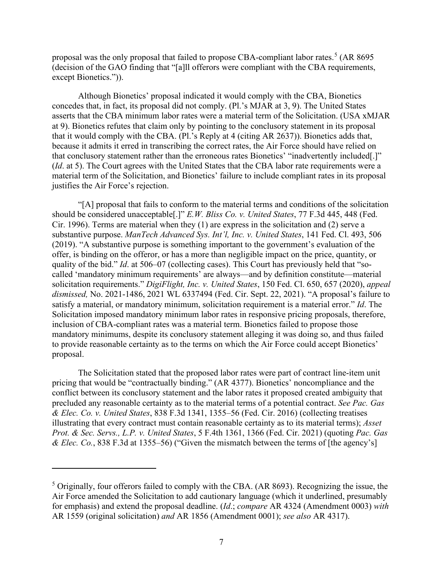proposal was the only proposal that failed to propose CBA-compliant labor rates.<sup>5</sup> (AR  $8695$ ) (decision of the GAO finding that "[a]ll offerors were compliant with the CBA requirements, except Bionetics.")).

Although Bionetics' proposal indicated it would comply with the CBA, Bionetics concedes that, in fact, its proposal did not comply. (Pl.'s MJAR at 3, 9). The United States asserts that the CBA minimum labor rates were a material term of the Solicitation. (USA xMJAR at 9). Bionetics refutes that claim only by pointing to the conclusory statement in its proposal that it would comply with the CBA. (Pl.'s Reply at 4 (citing AR 2637)). Bionetics adds that, because it admits it erred in transcribing the correct rates, the Air Force should have relied on that conclusory statement rather than the erroneous rates Bionetics' "inadvertently included[.]" (*Id*. at 5). The Court agrees with the United States that the CBA labor rate requirements were a material term of the Solicitation, and Bionetics' failure to include compliant rates in its proposal justifies the Air Force's rejection.

"[A] proposal that fails to conform to the material terms and conditions of the solicitation should be considered unacceptable[.]" *E.W. Bliss Co. v. United States*, 77 F.3d 445, 448 (Fed. Cir. 1996). Terms are material when they (1) are express in the solicitation and (2) serve a substantive purpose. *ManTech Advanced Sys. Int'l, Inc. v. United States*, 141 Fed. Cl. 493, 506 (2019). "A substantive purpose is something important to the government's evaluation of the offer, is binding on the offeror, or has a more than negligible impact on the price, quantity, or quality of the bid." *Id.* at 506–07 (collecting cases). This Court has previously held that "socalled 'mandatory minimum requirements' are always—and by definition constitute—material solicitation requirements." *DigiFlight, Inc. v. United States*, 150 Fed. Cl. 650, 657 (2020), *appeal dismissed,* No. 2021-1486, 2021 WL 6337494 (Fed. Cir. Sept. 22, 2021). "A proposal's failure to satisfy a material, or mandatory minimum, solicitation requirement is a material error." *Id*. The Solicitation imposed mandatory minimum labor rates in responsive pricing proposals, therefore, inclusion of CBA-compliant rates was a material term. Bionetics failed to propose those mandatory minimums, despite its conclusory statement alleging it was doing so, and thus failed to provide reasonable certainty as to the terms on which the Air Force could accept Bionetics' proposal.

The Solicitation stated that the proposed labor rates were part of contract line-item unit pricing that would be "contractually binding." (AR 4377). Bionetics' noncompliance and the conflict between its conclusory statement and the labor rates it proposed created ambiguity that precluded any reasonable certainty as to the material terms of a potential contract. *See Pac. Gas & Elec. Co. v. United States*, 838 F.3d 1341, 1355–56 (Fed. Cir. 2016) (collecting treatises illustrating that every contract must contain reasonable certainty as to its material terms); *Asset Prot. & Sec. Servs., L.P. v. United States*, 5 F.4th 1361, 1366 (Fed. Cir. 2021) (quoting *Pac. Gas & Elec. Co.*, 838 F.3d at 1355–56) ("Given the mismatch between the terms of [the agency's]

 $<sup>5</sup>$  Originally, four offerors failed to comply with the CBA. (AR 8693). Recognizing the issue, the</sup> Air Force amended the Solicitation to add cautionary language (which it underlined, presumably for emphasis) and extend the proposal deadline. (*Id*.; *compare* AR 4324 (Amendment 0003) *with* AR 1559 (original solicitation) *and* AR 1856 (Amendment 0001); *see also* AR 4317).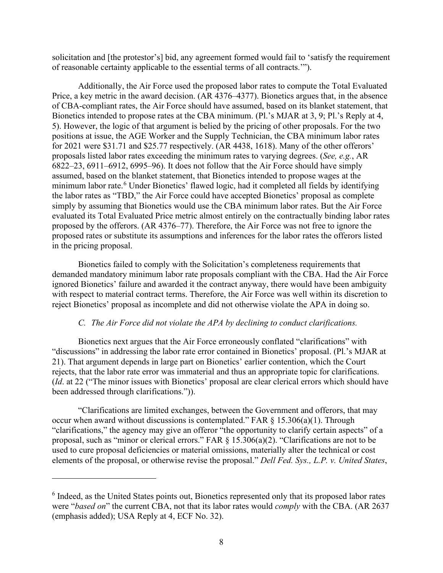solicitation and [the protestor's] bid, any agreement formed would fail to 'satisfy the requirement of reasonable certainty applicable to the essential terms of all contracts.'").

Additionally, the Air Force used the proposed labor rates to compute the Total Evaluated Price, a key metric in the award decision. (AR 4376–4377). Bionetics argues that, in the absence of CBA-compliant rates, the Air Force should have assumed, based on its blanket statement, that Bionetics intended to propose rates at the CBA minimum. (Pl.'s MJAR at 3, 9; Pl.'s Reply at 4, 5). However, the logic of that argument is belied by the pricing of other proposals. For the two positions at issue, the AGE Worker and the Supply Technician, the CBA minimum labor rates for 2021 were \$31.71 and \$25.77 respectively. (AR 4438, 1618). Many of the other offerors' proposals listed labor rates exceeding the minimum rates to varying degrees. (*See, e.g.*, AR 6822–23, 6911–6912, 6995–96). It does not follow that the Air Force should have simply assumed, based on the blanket statement, that Bionetics intended to propose wages at the minimum labor rate.<sup>6</sup> Under Bionetics' flawed logic, had it completed all fields by identifying the labor rates as "TBD," the Air Force could have accepted Bionetics' proposal as complete simply by assuming that Bionetics would use the CBA minimum labor rates. But the Air Force evaluated its Total Evaluated Price metric almost entirely on the contractually binding labor rates proposed by the offerors. (AR 4376–77). Therefore, the Air Force was not free to ignore the proposed rates or substitute its assumptions and inferences for the labor rates the offerors listed in the pricing proposal.

Bionetics failed to comply with the Solicitation's completeness requirements that demanded mandatory minimum labor rate proposals compliant with the CBA. Had the Air Force ignored Bionetics' failure and awarded it the contract anyway, there would have been ambiguity with respect to material contract terms. Therefore, the Air Force was well within its discretion to reject Bionetics' proposal as incomplete and did not otherwise violate the APA in doing so.

# *C. The Air Force did not violate the APA by declining to conduct clarifications.*

Bionetics next argues that the Air Force erroneously conflated "clarifications" with "discussions" in addressing the labor rate error contained in Bionetics' proposal. (Pl.'s MJAR at 21). That argument depends in large part on Bionetics' earlier contention, which the Court rejects, that the labor rate error was immaterial and thus an appropriate topic for clarifications. (*Id*. at 22 ("The minor issues with Bionetics' proposal are clear clerical errors which should have been addressed through clarifications.")).

"Clarifications are limited exchanges, between the Government and offerors, that may occur when award without discussions is contemplated." FAR  $\S$  15.306(a)(1). Through "clarifications," the agency may give an offeror "the opportunity to clarify certain aspects" of a proposal, such as "minor or clerical errors." FAR § 15.306(a)(2). "Clarifications are not to be used to cure proposal deficiencies or material omissions, materially alter the technical or cost elements of the proposal, or otherwise revise the proposal." *Dell Fed. Sys., L.P. v. United States*,

<sup>6</sup> Indeed, as the United States points out, Bionetics represented only that its proposed labor rates were "*based on*" the current CBA, not that its labor rates would *comply* with the CBA. (AR 2637 (emphasis added); USA Reply at 4, ECF No. 32).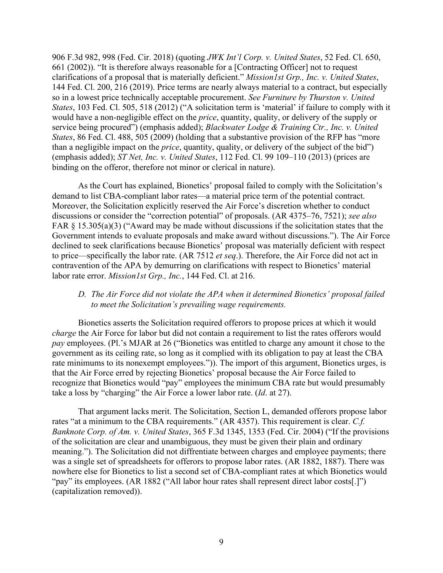906 F.3d 982, 998 (Fed. Cir. 2018) (quoting *JWK Int'l Corp. v. United States*, 52 Fed. Cl. 650, 661 (2002)). "It is therefore always reasonable for a [Contracting Officer] not to request clarifications of a proposal that is materially deficient." *Mission1st Grp., Inc. v. United States*, 144 Fed. Cl. 200, 216 (2019). Price terms are nearly always material to a contract, but especially so in a lowest price technically acceptable procurement. *See Furniture by Thurston v. United States*, 103 Fed. Cl. 505, 518 (2012) ("A solicitation term is 'material' if failure to comply with it would have a non-negligible effect on the *price*, quantity, quality, or delivery of the supply or service being procured") (emphasis added); *Blackwater Lodge & Training Ctr., Inc. v. United States*, 86 Fed. Cl. 488, 505 (2009) (holding that a substantive provision of the RFP has "more than a negligible impact on the *price*, quantity, quality, or delivery of the subject of the bid") (emphasis added); *ST Net, Inc. v. United States*, 112 Fed. Cl. 99 109–110 (2013) (prices are binding on the offeror, therefore not minor or clerical in nature).

As the Court has explained, Bionetics' proposal failed to comply with the Solicitation's demand to list CBA-compliant labor rates—a material price term of the potential contract. Moreover, the Solicitation explicitly reserved the Air Force's discretion whether to conduct discussions or consider the "correction potential" of proposals. (AR 4375–76, 7521); *see also* FAR § 15.305(a)(3) ("Award may be made without discussions if the solicitation states that the Government intends to evaluate proposals and make award without discussions."). The Air Force declined to seek clarifications because Bionetics' proposal was materially deficient with respect to price—specifically the labor rate. (AR 7512 *et seq*.). Therefore, the Air Force did not act in contravention of the APA by demurring on clarifications with respect to Bionetics' material labor rate error. *Mission1st Grp., Inc.*, 144 Fed. Cl. at 216.

# *D. The Air Force did not violate the APA when it determined Bionetics' proposal failed to meet the Solicitation's prevailing wage requirements.*

Bionetics asserts the Solicitation required offerors to propose prices at which it would *charge* the Air Force for labor but did not contain a requirement to list the rates offerors would *pay* employees. (Pl.'s MJAR at 26 ("Bionetics was entitled to charge any amount it chose to the government as its ceiling rate, so long as it complied with its obligation to pay at least the CBA rate minimums to its nonexempt employees.")). The import of this argument, Bionetics urges, is that the Air Force erred by rejecting Bionetics' proposal because the Air Force failed to recognize that Bionetics would "pay" employees the minimum CBA rate but would presumably take a loss by "charging" the Air Force a lower labor rate. (*Id*. at 27).

That argument lacks merit. The Solicitation, Section L, demanded offerors propose labor rates "at a minimum to the CBA requirements." (AR 4357). This requirement is clear. *C.f. Banknote Corp. of Am. v. United States*, 365 F.3d 1345, 1353 (Fed. Cir. 2004) ("If the provisions of the solicitation are clear and unambiguous, they must be given their plain and ordinary meaning."). The Solicitation did not diffrentiate between charges and employee payments; there was a single set of spreadsheets for offerors to propose labor rates. (AR 1882, 1887). There was nowhere else for Bionetics to list a second set of CBA-compliant rates at which Bionetics would "pay" its employees. (AR 1882 ("All labor hour rates shall represent direct labor costs[.]") (capitalization removed)).